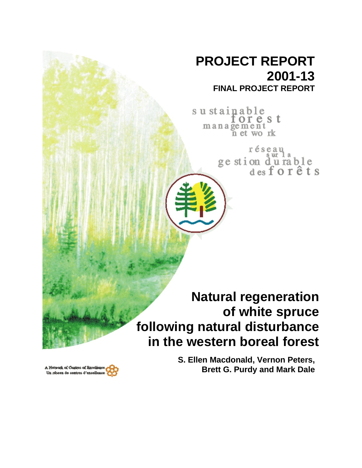# **PROJECT REPORT 2001-13 FINAL PROJECT REPORT**

sustainable orest management net work

> réseau ur 1 ge stion durable<br>des for êts

# **Natural regeneration of white spruce following natural disturbance in the western boreal forest**

A Notwork of Centres of Rxcelik Un résesu de centres d'excellenc **S. Ellen Macdonald, Vernon Peters, Brett G. Purdy and Mark Dale**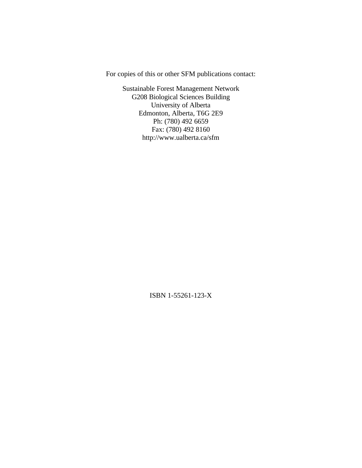For copies of this or other SFM publications contact:

Sustainable Forest Management Network G208 Biological Sciences Building University of Alberta Edmonton, Alberta, T6G 2E9 Ph: (780) 492 6659 Fax: (780) 492 8160 http://www.ualberta.ca/sfm

ISBN 1-55261-123-X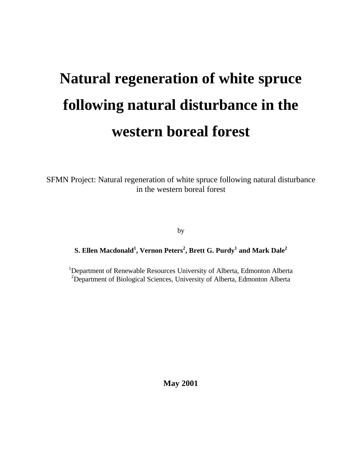# **Natural regeneration of white spruce following natural disturbance in the western boreal forest**

SFMN Project: Natural regeneration of white spruce following natural disturbance in the western boreal forest

by

# **S. Ellen Macdonald<sup>1</sup> , Vernon Peters<sup>2</sup> , Brett G. Purdy<sup>1</sup> and Mark Dale<sup>2</sup>**

<sup>1</sup>Department of Renewable Resources University of Alberta, Edmonton Alberta <sup>2</sup>Department of Biological Sciences, University of Alberta, Edmonton Alberta

**May 2001**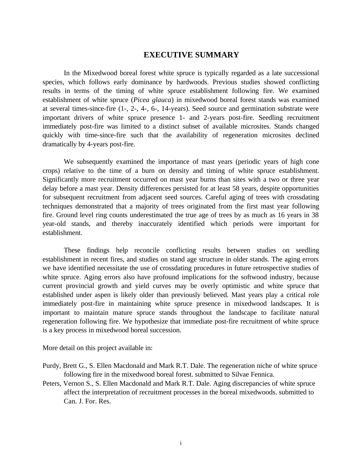# **EXECUTIVE SUMMARY**

In the Mixedwood boreal forest white spruce is typically regarded as a late successional species, which follows early dominance by hardwoods. Previous studies showed conflicting results in terms of the timing of white spruce establishment following fire. We examined establishment of white spruce (*Picea glauca*) in mixedwood boreal forest stands was examined at several times-since-fire (1-, 2-, 4-, 6-, 14-years). Seed source and germination substrate were important drivers of white spruce presence 1- and 2-years post-fire. Seedling recruitment immediately post-fire was limited to a distinct subset of available microsites. Stands changed quickly with time-since-fire such that the availability of regeneration microsites declined dramatically by 4-years post-fire.

We subsequently examined the importance of mast years (periodic years of high cone crops) relative to the time of a burn on density and timing of white spruce establishment. Significantly more recruitment occurred on mast year burns than sites with a two or three year delay before a mast year. Density differences persisted for at least 58 years, despite opportunities for subsequent recruitment from adjacent seed sources. Careful aging of trees with crossdating techniques demonstrated that a majority of trees originated from the first mast year following fire. Ground level ring counts underestimated the true age of trees by as much as 16 years in 38 year-old stands, and thereby inaccurately identified which periods were important for establishment.

These findings help reconcile conflicting results between studies on seedling establishment in recent fires, and studies on stand age structure in older stands. The aging errors we have identified necessitate the use of crossdating procedures in future retrospective studies of white spruce. Aging errors also have profound implications for the softwood industry, because current provincial growth and yield curves may be overly optimistic and white spruce that established under aspen is likely older than previously believed. Mast years play a critical role immediately post-fire in maintaining white spruce presence in mixedwood landscapes. It is important to maintain mature spruce stands throughout the landscape to facilitate natural regeneration following fire. We hypothesize that immediate post-fire recruitment of white spruce is a key process in mixedwood boreal succession.

More detail on this project available in:

- Purdy, Brett G., S. Ellen Macdonald and Mark R.T. Dale. The regeneration niche of white spruce following fire in the mixedwood boreal forest. submitted to Silvae Fennica.
- Peters, Vernon S., S. Ellen Macdonald and Mark R.T. Dale. Aging discrepancies of white spruce affect the interpretation of recruitment processes in the boreal mixedwoods. submitted to Can. J. For. Res.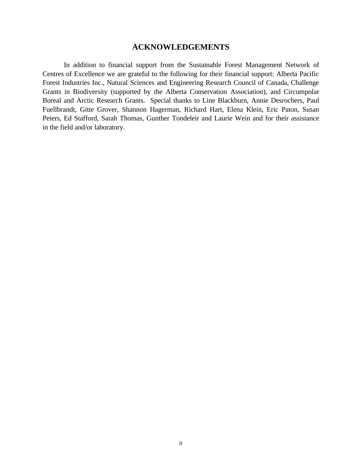# **ACKNOWLEDGEMENTS**

In addition to financial support from the Sustainable Forest Management Network of Centres of Excellence we are grateful to the following for their financial support: Alberta Pacific Forest Industries Inc., Natural Sciences and Engineering Research Council of Canada, Challenge Grants in Biodiversity (supported by the Alberta Conservation Association), and Circumpolar Boreal and Arctic Research Grants. Special thanks to Line Blackburn, Annie Desrochers, Paul Fuellbrandt, Gitte Grover, Shannon Hagerman, Richard Hart, Elena Klein, Eric Paton, Susan Peters, Ed Stafford, Sarah Thomas, Gunther Tondeleir and Laurie Wein and for their assistance in the field and/or laboratory.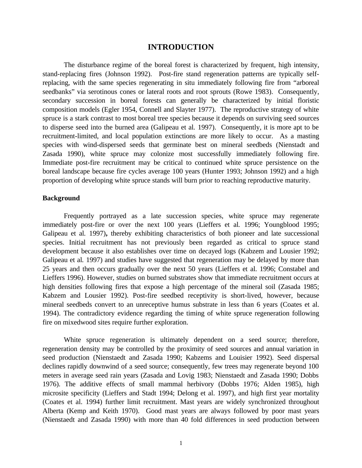### **INTRODUCTION**

The disturbance regime of the boreal forest is characterized by frequent, high intensity, stand-replacing fires (Johnson 1992). Post-fire stand regeneration patterns are typically selfreplacing, with the same species regenerating in situ immediately following fire from "arboreal seedbanks" via serotinous cones or lateral roots and root sprouts (Rowe 1983). Consequently, secondary succession in boreal forests can generally be characterized by initial floristic composition models (Egler 1954, Connell and Slayter 1977). The reproductive strategy of white spruce is a stark contrast to most boreal tree species because it depends on surviving seed sources to disperse seed into the burned area (Galipeau et al*.* 1997).Consequently, it is more apt to be recruitment-limited, and local population extinctions are more likely to occur. As a masting species with wind-dispersed seeds that germinate best on mineral seedbeds (Nienstadt and Zasada 1990), white spruce may colonize most successfully immediately following fire. Immediate post-fire recruitment may be critical to continued white spruce persistence on the boreal landscape because fire cycles average 100 years (Hunter 1993; Johnson 1992) and a high proportion of developing white spruce stands will burn prior to reaching reproductive maturity.

#### **Background**

Frequently portrayed as a late succession species, white spruce may regenerate immediately post-fire or over the next 100 years (Lieffers et al*.* 1996; Youngblood 1995; Galipeau et al*.* 1997)**,** thereby exhibiting characteristics of both pioneer and late successional species. Initial recruitment has not previously been regarded as critical to spruce stand development because it also establishes over time on decayed logs (Kabzem and Lousier 1992; Galipeau et al. 1997) and studies have suggested that regeneration may be delayed by more than 25 years and then occurs gradually over the next 50 years (Lieffers et al. 1996; Constabel and Lieffers 1996). However, studies on burned substrates show that immediate recruitment occurs at high densities following fires that expose a high percentage of the mineral soil (Zasada 1985; Kabzem and Lousier 1992). Post-fire seedbed receptivity is short-lived, however, because mineral seedbeds convert to an unreceptive humus substrate in less than 6 years (Coates et al. 1994). The contradictory evidence regarding the timing of white spruce regeneration following fire on mixedwood sites require further exploration.

White spruce regeneration is ultimately dependent on a seed source; therefore, regeneration density may be controlled by the proximity of seed sources and annual variation in seed production (Nienstaedt and Zasada 1990; Kabzems and Louisier 1992). Seed dispersal declines rapidly downwind of a seed source; consequently, few trees may regenerate beyond 100 meters in average seed rain years (Zasada and Lovig 1983; Nienstaedt and Zasada 1990; Dobbs 1976). The additive effects of small mammal herbivory (Dobbs 1976; Alden 1985), high microsite specificity (Lieffers and Stadt 1994; Delong et al. 1997), and high first year mortality (Coates et al. 1994) further limit recruitment. Mast years are widely synchronized throughout Alberta (Kemp and Keith 1970). Good mast years are always followed by poor mast years (Nienstaedt and Zasada 1990) with more than 40 fold differences in seed production between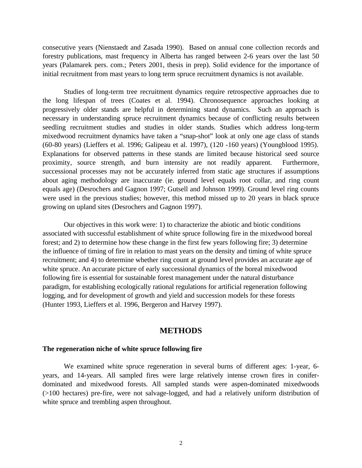consecutive years (Nienstaedt and Zasada 1990). Based on annual cone collection records and forestry publications, mast frequency in Alberta has ranged between 2-6 years over the last 50 years (Palamarek pers. com.; Peters 2001, thesis in prep). Solid evidence for the importance of initial recruitment from mast years to long term spruce recruitment dynamics is not available.

Studies of long-term tree recruitment dynamics require retrospective approaches due to the long lifespan of trees (Coates et al. 1994). Chronosequence approaches looking at progressively older stands are helpful in determining stand dynamics. Such an approach is necessary in understanding spruce recruitment dynamics because of conflicting results between seedling recruitment studies and studies in older stands. Studies which address long-term mixedwood recruitment dynamics have taken a "snap-shot" look at only one age class of stands (60-80 years) (Lieffers et al. 1996; Galipeau et al. 1997), (120 -160 years) (Youngblood 1995). Explanations for observed patterns in these stands are limited because historical seed source proximity, source strength, and burn intensity are not readily apparent. Furthermore, successional processes may not be accurately inferred from static age structures if assumptions about aging methodology are inaccurate (ie. ground level equals root collar, and ring count equals age) (Desrochers and Gagnon 1997; Gutsell and Johnson 1999). Ground level ring counts were used in the previous studies; however, this method missed up to 20 years in black spruce growing on upland sites (Desrochers and Gagnon 1997).

Our objectives in this work were: 1) to characterize the abiotic and biotic conditions associated with successful establishment of white spruce following fire in the mixedwood boreal forest; and 2) to determine how these change in the first few years following fire; 3) determine the influence of timing of fire in relation to mast years on the density and timing of white spruce recruitment; and 4) to determine whether ring count at ground level provides an accurate age of white spruce. An accurate picture of early successional dynamics of the boreal mixedwood following fire is essential for sustainable forest management under the natural disturbance paradigm, for establishing ecologically rational regulations for artificial regeneration following logging, and for development of growth and yield and succession models for these forests (Hunter 1993, Lieffers et al. 1996, Bergeron and Harvey 1997).

#### **METHODS**

#### **The regeneration niche of white spruce following fire**

We examined white spruce regeneration in several burns of different ages: 1-year, 6 years, and 14-years. All sampled fires were large relatively intense crown fires in coniferdominated and mixedwood forests. All sampled stands were aspen-dominated mixedwoods (>100 hectares) pre-fire, were not salvage-logged, and had a relatively uniform distribution of white spruce and trembling aspen throughout.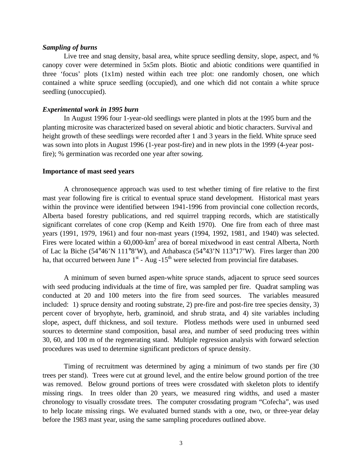#### *Sampling of burns*

Live tree and snag density, basal area, white spruce seedling density, slope, aspect, and % canopy cover were determined in 5x5m plots. Biotic and abiotic conditions were quantified in three 'focus' plots (1x1m) nested within each tree plot: one randomly chosen, one which contained a white spruce seedling (occupied), and one which did not contain a white spruce seedling (unoccupied).

#### *Experimental work in 1995 burn*

In August 1996 four 1-year-old seedlings were planted in plots at the 1995 burn and the planting microsite was characterized based on several abiotic and biotic characters. Survival and height growth of these seedlings were recorded after 1 and 3 years in the field. White spruce seed was sown into plots in August 1996 (1-year post-fire) and in new plots in the 1999 (4-year postfire); % germination was recorded one year after sowing.

#### **Importance of mast seed years**

A chronosequence approach was used to test whether timing of fire relative to the first mast year following fire is critical to eventual spruce stand development. Historical mast years within the province were identified between 1941-1996 from provincial cone collection records, Alberta based forestry publications, and red squirrel trapping records, which are statistically significant correlates of cone crop (Kemp and Keith 1970). One fire from each of three mast years (1991, 1979, 1961) and four non-mast years (1994, 1992, 1981, and 1940) was selected. Fires were located within a 60,000-km<sup>2</sup> area of boreal mixedwood in east central Alberta, North of Lac la Biche (54°46'N 111°8'W), and Athabasca (54°43'N 113°17'W). Fires larger than 200 ha, that occurred between June  $1<sup>st</sup>$  - Aug -15<sup>th</sup> were selected from provincial fire databases.

A minimum of seven burned aspen-white spruce stands, adjacent to spruce seed sources with seed producing individuals at the time of fire, was sampled per fire. Quadrat sampling was conducted at 20 and 100 meters into the fire from seed sources. The variables measured included: 1) spruce density and rooting substrate, 2) pre-fire and post-fire tree species density, 3) percent cover of bryophyte, herb, graminoid, and shrub strata, and 4) site variables including slope, aspect, duff thickness, and soil texture. Plotless methods were used in unburned seed sources to determine stand composition, basal area, and number of seed producing trees within 30, 60, and 100 m of the regenerating stand. Multiple regression analysis with forward selection procedures was used to determine significant predictors of spruce density.

Timing of recruitment was determined by aging a minimum of two stands per fire (30 trees per stand). Trees were cut at ground level, and the entire below ground portion of the tree was removed. Below ground portions of trees were crossdated with skeleton plots to identify missing rings. In trees older than 20 years, we measured ring widths, and used a master chronology to visually crossdate trees. The computer crossdating program "Cofecha", was used to help locate missing rings. We evaluated burned stands with a one, two, or three-year delay before the 1983 mast year, using the same sampling procedures outlined above.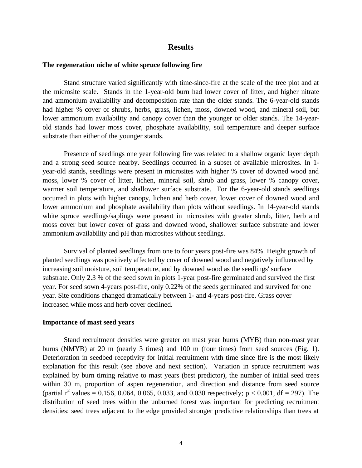#### **Results**

#### **The regeneration niche of white spruce following fire**

Stand structure varied significantly with time-since-fire at the scale of the tree plot and at the microsite scale. Stands in the 1-year-old burn had lower cover of litter, and higher nitrate and ammonium availability and decomposition rate than the older stands. The 6-year-old stands had higher % cover of shrubs, herbs, grass, lichen, moss, downed wood, and mineral soil, but lower ammonium availability and canopy cover than the younger or older stands. The 14-yearold stands had lower moss cover, phosphate availability, soil temperature and deeper surface substrate than either of the younger stands.

Presence of seedlings one year following fire was related to a shallow organic layer depth and a strong seed source nearby. Seedlings occurred in a subset of available microsites. In 1 year-old stands, seedlings were present in microsites with higher % cover of downed wood and moss, lower % cover of litter, lichen, mineral soil, shrub and grass, lower % canopy cover, warmer soil temperature, and shallower surface substrate. For the 6-year-old stands seedlings occurred in plots with higher canopy, lichen and herb cover, lower cover of downed wood and lower ammonium and phosphate availability than plots without seedlings. In 14-year-old stands white spruce seedlings/saplings were present in microsites with greater shrub, litter, herb and moss cover but lower cover of grass and downed wood, shallower surface substrate and lower ammonium availability and pH than microsites without seedlings.

Survival of planted seedlings from one to four years post-fire was 84%. Height growth of planted seedlings was positively affected by cover of downed wood and negatively influenced by increasing soil moisture, soil temperature, and by downed wood as the seedlings' surface substrate. Only 2.3 % of the seed sown in plots 1-year post-fire germinated and survived the first year. For seed sown 4-years post-fire, only 0.22% of the seeds germinated and survived for one year. Site conditions changed dramatically between 1- and 4-years post-fire. Grass cover increased while moss and herb cover declined.

#### **Importance of mast seed years**

Stand recruitment densities were greater on mast year burns (MYB) than non-mast year burns (NMYB) at 20 m (nearly 3 times) and 100 m (four times) from seed sources (Fig. 1). Deterioration in seedbed receptivity for initial recruitment with time since fire is the most likely explanation for this result (see above and next section). Variation in spruce recruitment was explained by burn timing relative to mast years (best predictor), the number of initial seed trees within 30 m, proportion of aspen regeneration, and direction and distance from seed source (partial  $r^2$  values = 0.156, 0.064, 0.065, 0.033, and 0.030 respectively;  $p < 0.001$ , df = 297). The distribution of seed trees within the unburned forest was important for predicting recruitment densities; seed trees adjacent to the edge provided stronger predictive relationships than trees at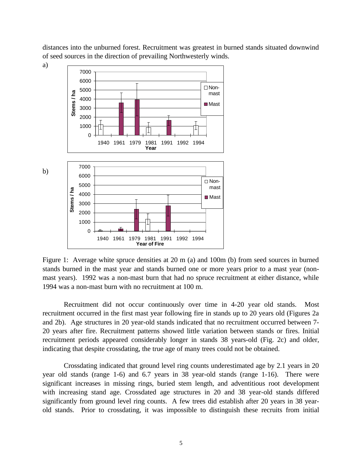distances into the unburned forest. Recruitment was greatest in burned stands situated downwind of seed sources in the direction of prevailing Northwesterly winds.



Figure 1: Average white spruce densities at 20 m (a) and 100m (b) from seed sources in burned stands burned in the mast year and stands burned one or more years prior to a mast year (nonmast years). 1992 was a non-mast burn that had no spruce recruitment at either distance, while 1994 was a non-mast burn with no recruitment at 100 m.

Recruitment did not occur continuously over time in 4-20 year old stands. Most recruitment occurred in the first mast year following fire in stands up to 20 years old (Figures 2a and 2b). Age structures in 20 year-old stands indicated that no recruitment occurred between 7- 20 years after fire. Recruitment patterns showed little variation between stands or fires. Initial recruitment periods appeared considerably longer in stands 38 years-old (Fig. 2c) and older, indicating that despite crossdating, the true age of many trees could not be obtained.

Crossdating indicated that ground level ring counts underestimated age by 2.1 years in 20 year old stands (range 1-6) and 6.7 years in 38 year-old stands (range 1-16). There were significant increases in missing rings, buried stem length, and adventitious root development with increasing stand age. Crossdated age structures in 20 and 38 year-old stands differed significantly from ground level ring counts. A few trees did establish after 20 years in 38 yearold stands. Prior to crossdating, it was impossible to distinguish these recruits from initial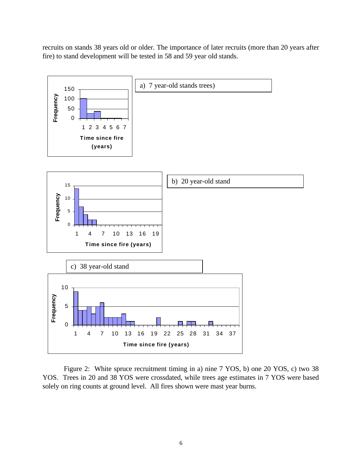recruits on stands 38 years old or older. The importance of later recruits (more than 20 years after fire) to stand development will be tested in 58 and 59 year old stands.



Figure 2: White spruce recruitment timing in a) nine 7 YOS, b) one 20 YOS, c) two 38 YOS. Trees in 20 and 38 YOS were crossdated, while trees age estimates in 7 YOS were based solely on ring counts at ground level. All fires shown were mast year burns.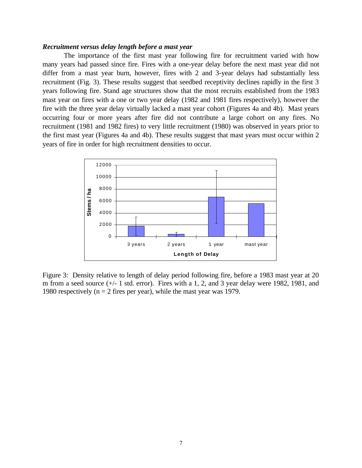#### *Recruitment versus delay length before a mast year*

The importance of the first mast year following fire for recruitment varied with how many years had passed since fire. Fires with a one-year delay before the next mast year did not differ from a mast year burn, however, fires with 2 and 3-year delays had substantially less recruitment (Fig. 3). These results suggest that seedbed receptivity declines rapidly in the first 3 years following fire. Stand age structures show that the most recruits established from the 1983 mast year on fires with a one or two year delay (1982 and 1981 fires respectively), however the fire with the three year delay virtually lacked a mast year cohort (Figures 4a and 4b). Mast years occurring four or more years after fire did not contribute a large cohort on any fires. No recruitment (1981 and 1982 fires) to very little recruitment (1980) was observed in years prior to the first mast year (Figures 4a and 4b). These results suggest that mast years must occur within 2 years of fire in order for high recruitment densities to occur.



Figure 3: Density relative to length of delay period following fire, before a 1983 mast year at 20 m from a seed source (+/- 1 std. error). Fires with a 1, 2, and 3 year delay were 1982, 1981, and 1980 respectively ( $n = 2$  fires per year), while the mast year was 1979.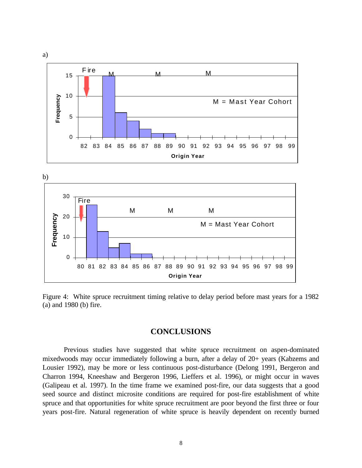



Figure 4: White spruce recruitment timing relative to delay period before mast years for a 1982 (a) and 1980 (b) fire.

# **CONCLUSIONS**

Previous studies have suggested that white spruce recruitment on aspen-dominated mixedwoods may occur immediately following a burn, after a delay of 20+ years (Kabzems and Lousier 1992), may be more or less continuous post-disturbance (Delong 1991, Bergeron and Charron 1994, Kneeshaw and Bergeron 1996, Lieffers et al. 1996), or might occur in waves (Galipeau et al. 1997). In the time frame we examined post-fire, our data suggests that a good seed source and distinct microsite conditions are required for post-fire establishment of white spruce and that opportunities for white spruce recruitment are poor beyond the first three or four years post-fire. Natural regeneration of white spruce is heavily dependent on recently burned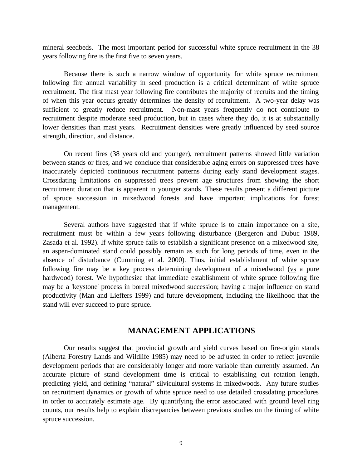mineral seedbeds. The most important period for successful white spruce recruitment in the 38 years following fire is the first five to seven years.

Because there is such a narrow window of opportunity for white spruce recruitment following fire annual variability in seed production is a critical determinant of white spruce recruitment. The first mast year following fire contributes the majority of recruits and the timing of when this year occurs greatly determines the density of recruitment. A two-year delay was sufficient to greatly reduce recruitment. Non-mast years frequently do not contribute to recruitment despite moderate seed production, but in cases where they do, it is at substantially lower densities than mast years. Recruitment densities were greatly influenced by seed source strength, direction, and distance.

On recent fires (38 years old and younger), recruitment patterns showed little variation between stands or fires, and we conclude that considerable aging errors on suppressed trees have inaccurately depicted continuous recruitment patterns during early stand development stages. Crossdating limitations on suppressed trees prevent age structures from showing the short recruitment duration that is apparent in younger stands. These results present a different picture of spruce succession in mixedwood forests and have important implications for forest management.

Several authors have suggested that if white spruce is to attain importance on a site, recruitment must be within a few years following disturbance (Bergeron and Dubuc 1989, Zasada et al. 1992). If white spruce fails to establish a significant presence on a mixedwood site, an aspen-dominated stand could possibly remain as such for long periods of time, even in the absence of disturbance (Cumming et al. 2000). Thus, initial establishment of white spruce following fire may be a key process determining development of a mixedwood ( $vs$  a pure</u> hardwood) forest. We hypothesize that immediate establishment of white spruce following fire may be a 'keystone' process in boreal mixedwood succession; having a major influence on stand productivity (Man and Lieffers 1999) and future development, including the likelihood that the stand will ever succeed to pure spruce.

## **MANAGEMENT APPLICATIONS**

Our results suggest that provincial growth and yield curves based on fire-origin stands (Alberta Forestry Lands and Wildlife 1985) may need to be adjusted in order to reflect juvenile development periods that are considerably longer and more variable than currently assumed. An accurate picture of stand development time is critical to establishing cut rotation length, predicting yield, and defining "natural" silvicultural systems in mixedwoods. Any future studies on recruitment dynamics or growth of white spruce need to use detailed crossdating procedures in order to accurately estimate age. By quantifying the error associated with ground level ring counts, our results help to explain discrepancies between previous studies on the timing of white spruce succession.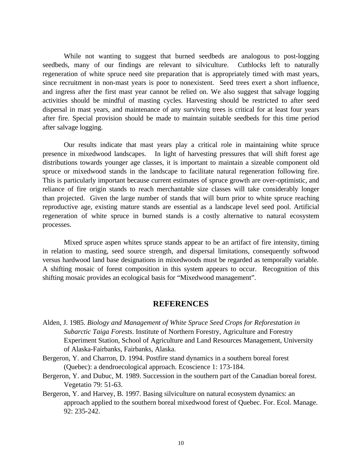While not wanting to suggest that burned seedbeds are analogous to post-logging seedbeds, many of our findings are relevant to silviculture. Cutblocks left to naturally regeneration of white spruce need site preparation that is appropriately timed with mast years, since recruitment in non-mast years is poor to nonexistent. Seed trees exert a short influence, and ingress after the first mast year cannot be relied on. We also suggest that salvage logging activities should be mindful of masting cycles. Harvesting should be restricted to after seed dispersal in mast years, and maintenance of any surviving trees is critical for at least four years after fire. Special provision should be made to maintain suitable seedbeds for this time period after salvage logging.

Our results indicate that mast years play a critical role in maintaining white spruce presence in mixedwood landscapes. In light of harvesting pressures that will shift forest age distributions towards younger age classes, it is important to maintain a sizeable component old spruce or mixedwood stands in the landscape to facilitate natural regeneration following fire. This is particularly important because current estimates of spruce growth are over-optimistic, and reliance of fire origin stands to reach merchantable size classes will take considerably longer than projected. Given the large number of stands that will burn prior to white spruce reaching reproductive age, existing mature stands are essential as a landscape level seed pool. Artificial regeneration of white spruce in burned stands is a costly alternative to natural ecosystem processes.

Mixed spruce aspen whites spruce stands appear to be an artifact of fire intensity, timing in relation to masting, seed source strength, and dispersal limitations, consequently softwood versus hardwood land base designations in mixedwoods must be regarded as temporally variable. A shifting mosaic of forest composition in this system appears to occur. Recognition of this shifting mosaic provides an ecological basis for "Mixedwood management".

# **REFERENCES**

- Alden, J. 1985. *Biology and Management of White Spruce Seed Crops for Reforestation in Subarctic Taiga Forests*. Institute of Northern Forestry, Agriculture and Forestry Experiment Station, School of Agriculture and Land Resources Management, University of Alaska-Fairbanks, Fairbanks, Alaska.
- Bergeron, Y. and Charron, D. 1994. Postfire stand dynamics in a southern boreal forest (Quebec): a dendroecological approach. Ecoscience 1: 173-184.
- Bergeron, Y. and Dubuc, M. 1989. Succession in the southern part of the Canadian boreal forest. Vegetatio 79: 51-63.
- Bergeron, Y. and Harvey, B. 1997. Basing silviculture on natural ecosystem dynamics: an approach applied to the southern boreal mixedwood forest of Quebec. For. Ecol. Manage. 92: 235-242.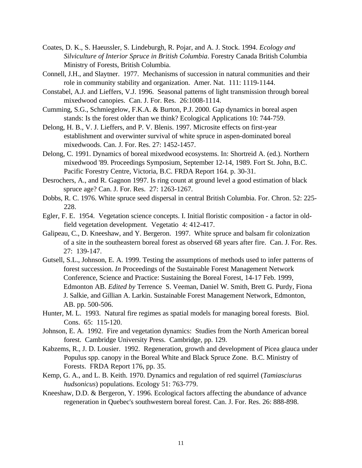- Coates, D. K., S. Haeussler, S. Lindeburgh, R. Pojar, and A. J. Stock. 1994. *Ecology and Silviculture of Interior Spruce in British Columbia*. Forestry Canada British Columbia Ministry of Forests, British Columbia.
- Connell, J.H., and Slaytner. 1977. Mechanisms of succession in natural communities and their role in community stability and organization. Amer. Nat. 111: 1119-1144.
- Constabel, A.J. and Lieffers, V.J. 1996. Seasonal patterns of light transmission through boreal mixedwood canopies. Can. J. For. Res. 26:1008-1114.
- Cumming, S.G., Schmiegelow, F.K.A. & Burton, P.J. 2000. Gap dynamics in boreal aspen stands: Is the forest older than we think? Ecological Applications 10: 744-759.
- Delong, H. B., V. J. Lieffers, and P. V. Blenis. 1997. Microsite effects on first-year establishment and overwinter survival of white spruce in aspen-dominated boreal mixedwoods. Can. J. For. Res. 27: 1452-1457.
- Delong, C. 1991. Dynamics of boreal mixedwood ecosystems. In: Shortreid A. (ed.). Northern mixedwood '89. Proceedings Symposium, September 12-14, 1989. Fort St. John, B.C. Pacific Forestry Centre, Victoria, B.C. FRDA Report 164. p. 30-31.
- Desrochers, A., and R. Gagnon 1997. Is ring count at ground level a good estimation of black spruce age? Can. J. For. Res. 27: 1263-1267.
- Dobbs, R. C. 1976. White spruce seed dispersal in central British Columbia. For. Chron. 52: 225- 228.
- Egler, F. E. 1954. Vegetation science concepts. I. Initial floristic composition a factor in oldfield vegetation development. Vegetatio 4: 412-417.
- Galipeau, C., D. Kneeshaw, and Y. Bergeron. 1997. White spruce and balsam fir colonization of a site in the southeastern boreal forest as observed 68 years after fire. Can. J. For. Res. 27: 139-147.
- Gutsell, S.L., Johnson, E. A. 1999. Testing the assumptions of methods used to infer patterns of forest succession. *In* Proceedings of the Sustainable Forest Management Network Conference, Science and Practice: Sustaining the Boreal Forest, 14-17 Feb. 1999, Edmonton AB. *Edited by* Terrence S. Veeman, Daniel W. Smith, Brett G. Purdy, Fiona J. Salkie, and Gillian A. Larkin. Sustainable Forest Management Network, Edmonton, AB. pp. 500-506.
- Hunter, M. L. 1993. Natural fire regimes as spatial models for managing boreal forests. Biol. Cons. 65: 115-120.
- Johnson, E. A. 1992. Fire and vegetation dynamics: Studies from the North American boreal forest. Cambridge University Press. Cambridge, pp. 129.
- Kabzems, R., J. D. Lousier. 1992. Regeneration, growth and development of Picea glauca under Populus spp. canopy in the Boreal White and Black Spruce Zone. B.C. Ministry of Forests. FRDA Report 176, pp. 35.
- Kemp, G. A., and L. B. Keith. 1970. Dynamics and regulation of red squirrel (*Tamiasciurus hudsonicus*) populations. Ecology 51: 763-779.
- Kneeshaw, D.D. & Bergeron, Y. 1996. Ecological factors affecting the abundance of advance regeneration in Quebec's southwestern boreal forest. Can. J. For. Res. 26: 888-898.